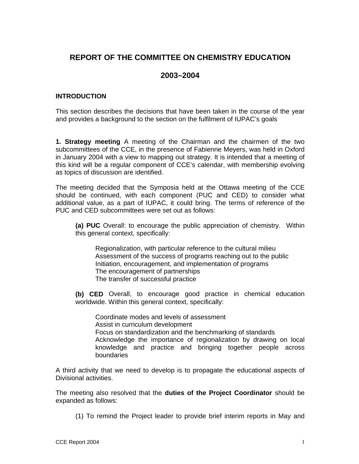## **REPORT OF THE COMMITTEE ON CHEMISTRY EDUCATION**

# **2003–2004**

### **INTRODUCTION**

This section describes the decisions that have been taken in the course of the year and provides a background to the section on the fulfilment of IUPAC's goals

**1. Strategy meeting** A meeting of the Chairman and the chairmen of the two subcommittees of the CCE, in the presence of Fabienne Meyers, was held in Oxford in January 2004 with a view to mapping out strategy. It is intended that a meeting of this kind will be a regular component of CCE's calendar, with membership evolving as topics of discussion are identified.

The meeting decided that the Symposia held at the Ottawa meeting of the CCE should be continued, with each component (PUC and CED) to consider what additional value, as a part of IUPAC, it could bring. The terms of reference of the PUC and CED subcommittees were set out as follows:

**(a) PUC** Overall: to encourage the public appreciation of chemistry. Within this general context, specifically:

Regionalization, with particular reference to the cultural milieu Assessment of the success of programs reaching out to the public Initiation, encouragement, and implementation of programs The encouragement of partnerships The transfer of successful practice

**(b) CED** Overall, to encourage good practice in chemical education worldwide. Within this general context, specifically:

Coordinate modes and levels of assessment Assist in curriculum development Focus on standardization and the benchmarking of standards Acknowledge the importance of regionalization by drawing on local knowledge and practice and bringing together people across boundaries

A third activity that we need to develop is to propagate the educational aspects of Divisional activities.

The meeting also resolved that the **duties of the Project Coordinator** should be expanded as follows:

(1) To remind the Project leader to provide brief interim reports in May and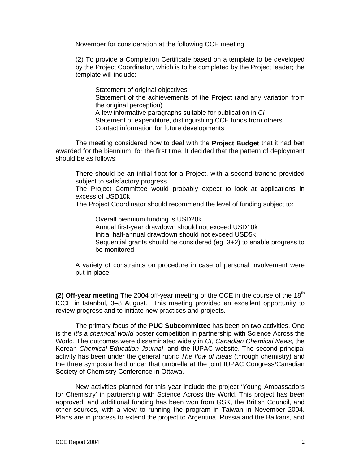November for consideration at the following CCE meeting

(2) To provide a Completion Certificate based on a template to be developed by the Project Coordinator, which is to be completed by the Project leader; the template will include:

Statement of original objectives Statement of the achievements of the Project (and any variation from the original perception) A few informative paragraphs suitable for publication in *CI* Statement of expenditure, distinguishing CCE funds from others Contact information for future developments

The meeting considered how to deal with the **Project Budget** that it had ben awarded for the biennium, for the first time. It decided that the pattern of deployment should be as follows:

There should be an initial float for a Project, with a second tranche provided subject to satisfactory progress

The Project Committee would probably expect to look at applications in excess of USD10k

The Project Coordinator should recommend the level of funding subject to:

Overall biennium funding is USD20k Annual first-year drawdown should not exceed USD10k Initial half-annual drawdown should not exceed USD5k Sequential grants should be considered (eg, 3+2) to enable progress to be monitored

A variety of constraints on procedure in case of personal involvement were put in place.

**(2) Off-year meeting** The 2004 off-year meeting of the CCE in the course of the 18<sup>th</sup> ICCE in Istanbul, 3–8 August. This meeting provided an excellent opportunity to review progress and to initiate new practices and projects.

The primary focus of the **PUC Subcommittee** has been on two activities. One is the *It's a chemical world* poster competition in partnership with Science Across the World. The outcomes were disseminated widely in *CI*, *Canadian Chemical News*, the Korean *Chemical Education Journal*, and the IUPAC website. The second principal activity has been under the general rubric *The flow of ideas* (through chemistry) and the three symposia held under that umbrella at the joint IUPAC Congress/Canadian Society of Chemistry Conference in Ottawa.

New activities planned for this year include the project 'Young Ambassadors for Chemistry' in partnership with Science Across the World. This project has been approved, and additional funding has been won from GSK, the British Council, and other sources, with a view to running the program in Taiwan in November 2004. Plans are in process to extend the project to Argentina, Russia and the Balkans, and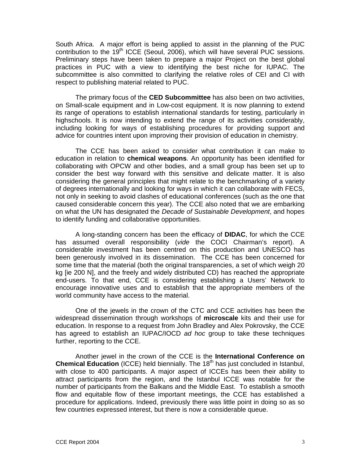South Africa. A major effort is being applied to assist in the planning of the PUC contribution to the  $19<sup>th</sup>$  ICCE (Seoul, 2006), which will have several PUC sessions. Preliminary steps have been taken to prepare a major Project on the best global practices in PUC with a view to identifying the best niche for IUPAC. The subcommittee is also committed to clarifying the relative roles of CEI and CI with respect to publishing material related to PUC.

The primary focus of the **CED Subcommittee** has also been on two activities, on Small-scale equipment and in Low-cost equipment. It is now planning to extend its range of operations to establish international standards for testing, particularly in highschools. It is now intending to extend the range of its activities considerably, including looking for ways of establishing procedures for providing support and advice for countries intent upon improving their provision of education in chemistry.

The CCE has been asked to consider what contribution it can make to education in relation to **chemical weapons**. An opportunity has been identified for collaborating with OPCW and other bodies, and a small group has been set up to consider the best way forward with this sensitive and delicate matter. It is also considering the general principles that might relate to the benchmarking of a variety of degrees internationally and looking for ways in which it can collaborate with FECS, not only in seeking to avoid clashes of educational conferences (such as the one that caused considerable concern this year). The CCE also noted that we are embarking on what the UN has designated the *Decade of Sustainable Development*, and hopes to identify funding and collaborative opportunities.

A long-standing concern has been the efficacy of **DIDAC**, for which the CCE has assumed overall responsibility (*vide* the COCI Chairman's report). A considerable investment has been centred on this production and UNESCO has been generously involved in its dissemination. The CCE has been concerned for some time that the material (both the original transparencies, a set of which weigh 20 kg [ie 200 N], and the freely and widely distributed CD) has reached the appropriate end-users. To that end, CCE is considering establishing a Users' Network to encourage innovative uses and to establish that the appropriate members of the world community have access to the material.

One of the jewels in the crown of the CTC and CCE activities has been the widespread dissemination through workshops of **microscale** kits and their use for education. In response to a request from John Bradley and Alex Pokrovsky, the CCE has agreed to establish an IUPAC/IOCD *ad hoc* group to take these techniques further, reporting to the CCE.

Another jewel in the crown of the CCE is the **International Conference on Chemical Education** (ICCE) held biennially. The 18<sup>th</sup> has just concluded in Istanbul, with close to 400 participants. A major aspect of ICCEs has been their ability to attract participants from the region, and the Istanbul ICCE was notable for the number of participants from the Balkans and the Middle East. To establish a smooth flow and equitable flow of these important meetings, the CCE has established a procedure for applications. Indeed, previously there was little point in doing so as so few countries expressed interest, but there is now a considerable queue.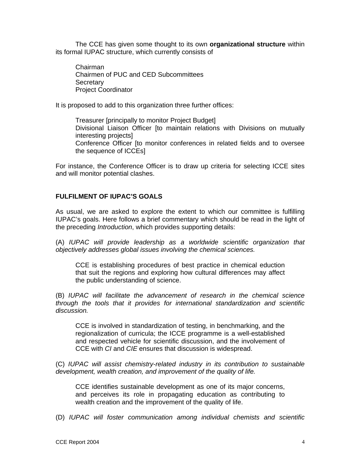The CCE has given some thought to its own **organizational structure** within its formal IUPAC structure, which currently consists of

Chairman Chairmen of PUC and CED Subcommittees **Secretary** Project Coordinator

It is proposed to add to this organization three further offices:

Treasurer [principally to monitor Project Budget] Divisional Liaison Officer [to maintain relations with Divisions on mutually interesting projects] Conference Officer [to monitor conferences in related fields and to oversee the sequence of ICCEs]

For instance, the Conference Officer is to draw up criteria for selecting ICCE sites and will monitor potential clashes.

#### **FULFILMENT OF IUPAC'S GOALS**

As usual, we are asked to explore the extent to which our committee is fulfilling IUPAC's goals. Here follows a brief commentary which should be read in the light of the preceding *Introduction*, which provides supporting details:

(A) *IUPAC will provide leadership as a worldwide scientific organization that objectively addresses global issues involving the chemical sciences.*

CCE is establishing procedures of best practice in chemical eduction that suit the regions and exploring how cultural differences may affect the public understanding of science.

(B) *IUPAC will facilitate the advancement of research in the chemical science through the tools that it provides for international standardization and scientific discussion.*

CCE is involved in standardization of testing, in benchmarking, and the regionalization of curricula; the ICCE programme is a well-established and respected vehicle for scientific discussion, and the involvement of CCE with *CI* and *CIE* ensures that discussion is widespread.

(C) *IUPAC will assist chemistry-related industry in its contribution to sustainable development, wealth creation, and improvement of the quality of life.*

CCE identifies sustainable development as one of its major concerns, and perceives its role in propagating education as contributing to wealth creation and the improvement of the quality of life.

(D) *IUPAC will foster communication among individual chemists and scientific*